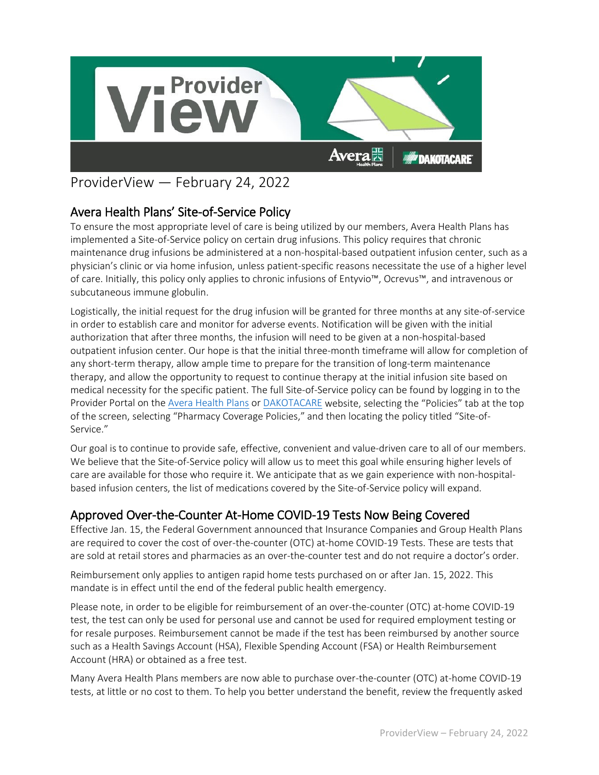

# ProviderView — February 24, 2022

# Avera Health Plans' Site-of-Service Policy

To ensure the most appropriate level of care is being utilized by our members, Avera Health Plans has implemented a Site-of-Service policy on certain drug infusions. This policy requires that chronic maintenance drug infusions be administered at a non-hospital-based outpatient infusion center, such as a physician's clinic or via home infusion, unless patient-specific reasons necessitate the use of a higher level of care. Initially, this policy only applies to chronic infusions of Entyvio™, Ocrevus™, and intravenous or subcutaneous immune globulin.

Logistically, the initial request for the drug infusion will be granted for three months at any site-of-service in order to establish care and monitor for adverse events. Notification will be given with the initial authorization that after three months, the infusion will need to be given at a non-hospital-based outpatient infusion center. Our hope is that the initial three-month timeframe will allow for completion of any short-term therapy, allow ample time to prepare for the transition of long-term maintenance therapy, and allow the opportunity to request to continue therapy at the initial infusion site based on medical necessity for the specific patient. The full Site-of-Service policy can be found by logging in to the Provider Portal on the [Avera Health Plans](https://www.averahealthplans.com/) or [DAKOTACARE](https://www.dakotacare.com/) website, selecting the "Policies" tab at the top of the screen, selecting "Pharmacy Coverage Policies," and then locating the policy titled "Site-of-Service."

Our goal is to continue to provide safe, effective, convenient and value-driven care to all of our members. We believe that the Site-of-Service policy will allow us to meet this goal while ensuring higher levels of care are available for those who require it. We anticipate that as we gain experience with non-hospitalbased infusion centers, the list of medications covered by the Site-of-Service policy will expand.

# Approved Over-the-Counter At-Home COVID-19 Tests Now Being Covered<br>Effective Jan. 15, the Federal Government announced that Insurance Companies and Group Health Plans

are required to cover the cost of over-the-counter (OTC) at-home COVID-19 Tests. These are tests that are sold at retail stores and pharmacies as an over-the-counter test and do not require a doctor's order.

Reimbursement only applies to antigen rapid home tests purchased on or after Jan. 15, 2022. This mandate is in effect until the end of the federal public health emergency.

Please note, in order to be eligible for reimbursement of an over-the-counter (OTC) at-home COVID-19 test, the test can only be used for personal use and cannot be used for required employment testing or for resale purposes. Reimbursement cannot be made if the test has been reimbursed by another source such as a Health Savings Account (HSA), Flexible Spending Account (FSA) or Health Reimbursement Account (HRA) or obtained as a free test.

Many Avera Health Plans members are now able to purchase over-the-counter (OTC) at-home COVID-19 tests, at little or no cost to them. To help you better understand the benefit, review the frequently asked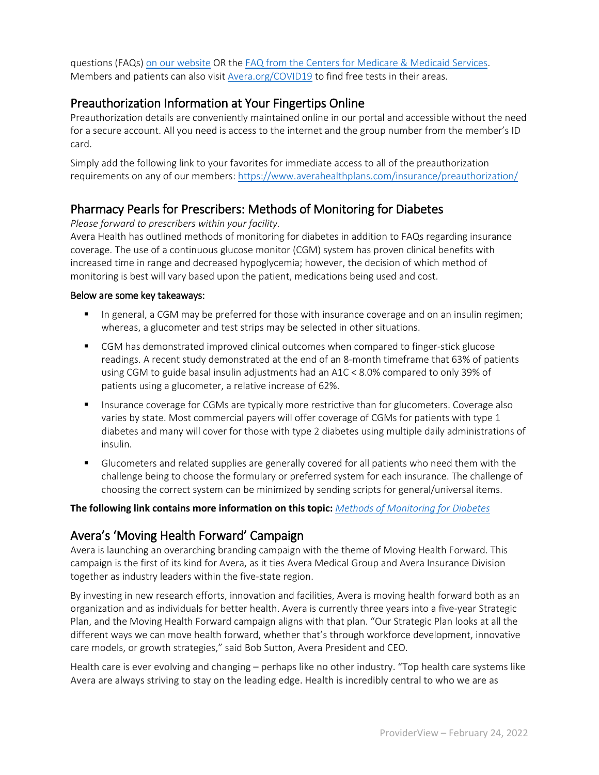questions (FAQs) [on our website](https://www.averahealthplans.com/insurance/covid-19-health-insurance-information/) OR the [FAQ from the Centers for Medicare & Medicaid Services.](https://www.cms.gov/how-to-get-your-at-home-OTC-COVID-19-test-for-free) Members and patients can also visit [Avera.org/COVID19](https://avera.org/COVID19/) to find free tests in their areas.

## Preauthorization Information at Your Fingertips Online

Preauthorization details are conveniently maintained online in our portal and accessible without the need for a secure account. All you need is access to the internet and the group number from the member's ID card.

Simply add the following link to your favorites for immediate access to all of the preauthorization requirements on any of our members:<https://www.averahealthplans.com/insurance/preauthorization/>

### Pharmacy Pearls for Prescribers: Methods of Monitoring for Diabetes

*Please forward to prescribers within your facility.*

Avera Health has outlined methods of monitoring for diabetes in addition to FAQs regarding insurance coverage. The use of a continuous glucose monitor (CGM) system has proven clinical benefits with increased time in range and decreased hypoglycemia; however, the decision of which method of monitoring is best will vary based upon the patient, medications being used and cost.

#### Below are some key takeaways:

- **IF** In general, a CGM may be preferred for those with insurance coverage and on an insulin regimen; whereas, a glucometer and test strips may be selected in other situations.
- **CGM** has demonstrated improved clinical outcomes when compared to finger-stick glucose readings. A recent study demonstrated at the end of an 8-month timeframe that 63% of patients using CGM to guide basal insulin adjustments had an A1C < 8.0% compared to only 39% of patients using a glucometer, a relative increase of 62%.
- **Insurance coverage for CGMs are typically more restrictive than for glucometers. Coverage also** varies by state. Most commercial payers will offer coverage of CGMs for patients with type 1 diabetes and many will cover for those with type 2 diabetes using multiple daily administrations of insulin.
- Glucometers and related supplies are generally covered for all patients who need them with the challenge being to choose the formulary or preferred system for each insurance. The challenge of choosing the correct system can be minimized by sending scripts for general/universal items.

#### **The following link contains more information on this topic:** *[Methods of Monitoring for Diabetes](https://s.bl-1.com/h/dp0NyKox?url=https://www.avera.org/app/files/public/81971/pharm-pearls_methods-of-monitoring-diabetes.pdf)*

# Avera's 'Moving Health Forward' Campaign

Avera is launching an overarching branding campaign with the theme of Moving Health Forward. This campaign is the first of its kind for Avera, as it ties Avera Medical Group and Avera Insurance Division together as industry leaders within the five-state region.

By investing in new research efforts, innovation and facilities, Avera is moving health forward both as an organization and as individuals for better health. Avera is currently three years into a five-year Strategic Plan, and the Moving Health Forward campaign aligns with that plan. "Our Strategic Plan looks at all the different ways we can move health forward, whether that's through workforce development, innovative care models, or growth strategies," said Bob Sutton, Avera President and CEO.

Health care is ever evolving and changing – perhaps like no other industry. "Top health care systems like Avera are always striving to stay on the leading edge. Health is incredibly central to who we are as